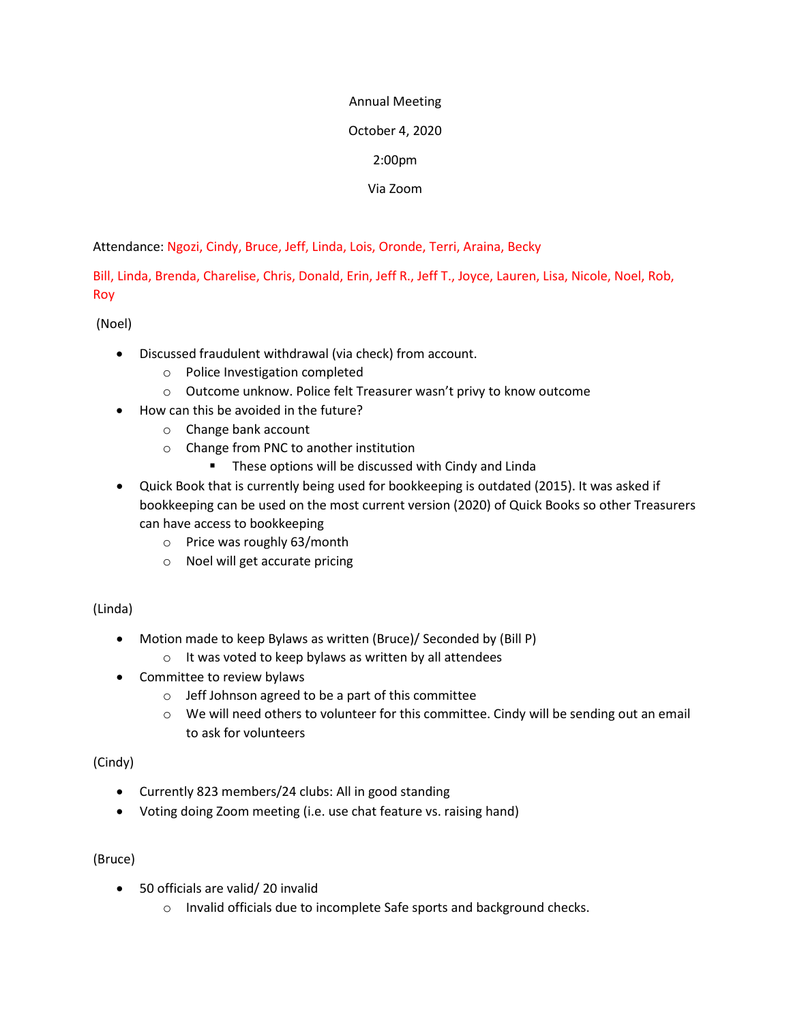#### Annual Meeting

# October 4, 2020

# 2:00pm

Via Zoom

Attendance: Ngozi, Cindy, Bruce, Jeff, Linda, Lois, Oronde, Terri, Araina, Becky

Bill, Linda, Brenda, Charelise, Chris, Donald, Erin, Jeff R., Jeff T., Joyce, Lauren, Lisa, Nicole, Noel, Rob, Roy

(Noel)

- Discussed fraudulent withdrawal (via check) from account.
	- o Police Investigation completed
	- o Outcome unknow. Police felt Treasurer wasn't privy to know outcome
- How can this be avoided in the future?
	- o Change bank account
	- o Change from PNC to another institution
		- **These options will be discussed with Cindy and Linda**
- Quick Book that is currently being used for bookkeeping is outdated (2015). It was asked if bookkeeping can be used on the most current version (2020) of Quick Books so other Treasurers can have access to bookkeeping
	- o Price was roughly 63/month
	- o Noel will get accurate pricing

(Linda)

- Motion made to keep Bylaws as written (Bruce)/ Seconded by (Bill P)
	- o It was voted to keep bylaws as written by all attendees
- Committee to review bylaws
	- o Jeff Johnson agreed to be a part of this committee
	- o We will need others to volunteer for this committee. Cindy will be sending out an email to ask for volunteers

(Cindy)

- Currently 823 members/24 clubs: All in good standing
- Voting doing Zoom meeting (i.e. use chat feature vs. raising hand)

(Bruce)

- 50 officials are valid/ 20 invalid
	- o Invalid officials due to incomplete Safe sports and background checks.